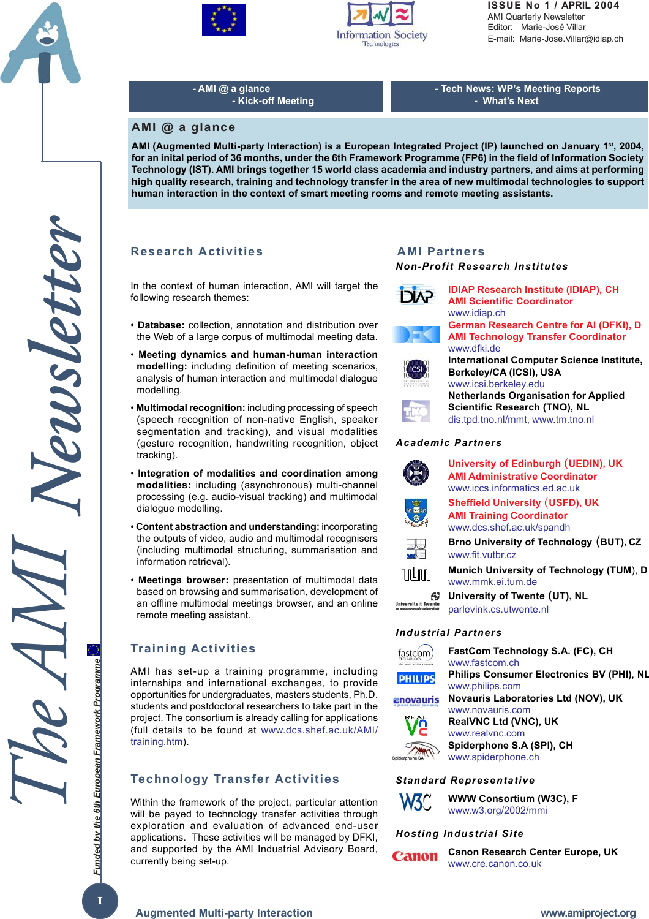





**ISSUE No 1 / APRIL 2004** AMI Quarterly Newsletter Editor: Marie-José Villar E-mail: Marie-Jose.Villar@idiap.ch

**- AMI @ a glance - Kick-off Meeting** **- Tech News: WP's Meeting Reports - What's Next**

## **AMI @ a glance**

**AMI (Augmented Multi-party Interaction) is a European Integrated Project (IP) launched on January 1st, 2004, for an inital period of 36 months, under the 6th Framework Programme (FP6) in the field of Information Society Technology (IST). AMI brings together 15 world class academia and industry partners, and aims at performing high quality research, training and technology transfer in the area of new multimodal technologies to support human interaction in the context of smart meeting rooms and remote meeting assistants.**

# **Research Activities**

In the context of human interaction, AMI will target the following research themes:

- **Database:** collection, annotation and distribution over the Web of a large corpus of multimodal meeting data.
- • **Meeting dynamics and human-human interaction modelling:** including definition of meeting scenarios, analysis of human interaction and multimodal dialogue modelling.
- **Multimodal recognition:** including processing of speech (speech recognition of non-native English, speaker segmentation and tracking), and visual modalities (gesture recognition, handwriting recognition, object tracking).
- **Integration of modalities and coordination among modalities:** including (asynchronous) multi-channel processing (e.g. audio-visual tracking) and multimodal dialogue modelling.
- **Content abstraction and understanding:** incorporating the outputs of video, audio and multimodal recognisers (including multimodal structuring, summarisation and information retrieval).
- **Meetings browser:** presentation of multimodal data based on browsing and summarisation, development of an offline multimodal meetings browser, and an online remote meeting assistant.

# **Training Activities**

AMI has set-up a training programme, including internships and international exchanges, to provide opportunities for undergraduates, masters students, Ph.D. students and postdoctoral researchers to take part in the project. The consortium is already calling for applications (full details to be found at www.dcs.shef.ac.uk/AMI/ training.htm).

# **Technology Transfer Activities**

Within the framework of the project, particular attention will be payed to technology transfer activities through exploration and evaluation of advanced end-user applications. These activities will be managed by DFKI, and supported by the AMI Industrial Advisory Board, currently being set-up.

#### *Non-Profit Research Institutes* **AMI Partners**



**AMI Scientific Coordinator** www.idiap.ch **German Research Centre for AI (DFKI), D AMI Technology Transfer Coordinator** www.dfki.de **International Computer Science Institute, Berkeley/CA (ICSI), USA** www.icsi.berkeley.edu **Netherlands Organisation for Applied Scientific Research (TNO), NL** dis.tpd.tno.nl/mmt, www.tm.tno.nl *Academic Partners*



*Industrial Partners*

| art vision company | FastCom Technology S.A. (FC), CH<br>www.fastcom.ch                  |
|--------------------|---------------------------------------------------------------------|
| <b>PHILIPS</b>     | <b>Philips Consumer Electronics BV (PHI), NL</b><br>www.philips.com |
| anovauris          | Novauris Laboratories Ltd (NOV), UK<br>www.novauris.com             |
|                    | <b>RealVNC Ltd (VNC), UK</b><br>www.realvnc.com                     |
| Spiderphone        | Spiderphone S.A (SPI), CH<br>www.spiderphone.ch                     |
|                    |                                                                     |

#### *Standard Representative*



Spide

**WWW Consortium (W3C), F** www.w3.org/2002/mmi

## *Hosting Industrial Site*



**Canon Research Center Europe, UK** www.cre.canon.co.uk

*Funded by the 6th European Framework Programme*

Funded by the 6th European Framework Programme

**1**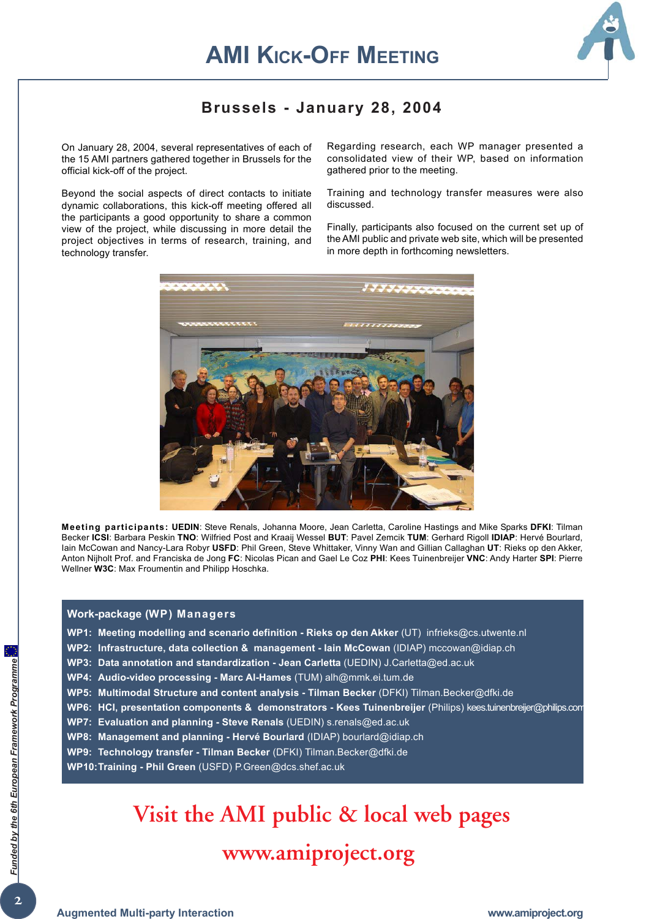

# **Brussels - January 28, 2004**

On January 28, 2004, several representatives of each of the 15 AMI partners gathered together in Brussels for the official kick-off of the project.

Beyond the social aspects of direct contacts to initiate dynamic collaborations, this kick-off meeting offered all the participants a good opportunity to share a common view of the project, while discussing in more detail the project objectives in terms of research, training, and technology transfer.

Regarding research, each WP manager presented a consolidated view of their WP, based on information gathered prior to the meeting.

Training and technology transfer measures were also discussed.

Finally, participants also focused on the current set up of the AMI public and private web site, which will be presented in more depth in forthcoming newsletters.



**Meeting participants: UEDIN**: Steve Renals, Johanna Moore, Jean Carletta, Caroline Hastings and Mike Sparks **DFKI**: Tilman Becker **ICSI**: Barbara Peskin **TNO**: Wilfried Post and Kraaij Wessel **BUT**: Pavel Zemcik **TUM**: Gerhard Rigoll **IDIAP**: Hervé Bourlard, Iain McCowan and Nancy-Lara Robyr **USFD**: Phil Green, Steve Whittaker, Vinny Wan and Gillian Callaghan **UT**: Rieks op den Akker, Anton Nijholt Prof. and Franciska de Jong **FC**: Nicolas Pican and Gael Le Coz **PHI**: Kees Tuinenbreijer **VNC**: Andy Harter **SPI**: Pierre Wellner **W3C**: Max Froumentin and Philipp Hoschka.

#### **Work-package (WP) Managers**

- **WP1: Meeting modelling and scenario definition Rieks op den Akker** (UT) infrieks@cs.utwente.nl
- **WP2: Infrastructure, data collection & management Iain McCowan** (IDIAP) mccowan@idiap.ch
- **WP3: Data annotation and standardization Jean Carletta** (UEDIN) J.Carletta@ed.ac.uk
- **WP4: Audio-video processing Marc Al-Hames** (TUM) alh@mmk.ei.tum.de
- **WP5: Multimodal Structure and content analysis Tilman Becker** (DFKI) Tilman.Becker@dfki.de
- **WP6: HCI, presentation components & demonstrators Kees Tuinenbreijer** (Philips) kees.tuinenbreijer@philips.com
- **WP7: Evaluation and planning Steve Renals** (UEDIN) s.renals@ed.ac.uk
- **WP8: Management and planning Hervé Bourlard** (IDIAP) bourlard@idiap.ch
- **WP9: Technology transfer Tilman Becker** (DFKI) Tilman.Becker@dfki.de
- **WP10:Training Phil Green** (USFD) P.Green@dcs.shef.ac.uk

# **Visit the AMI public & local web pages**

# **www.amiproject.org**

**Augmented Multi-party Interaction**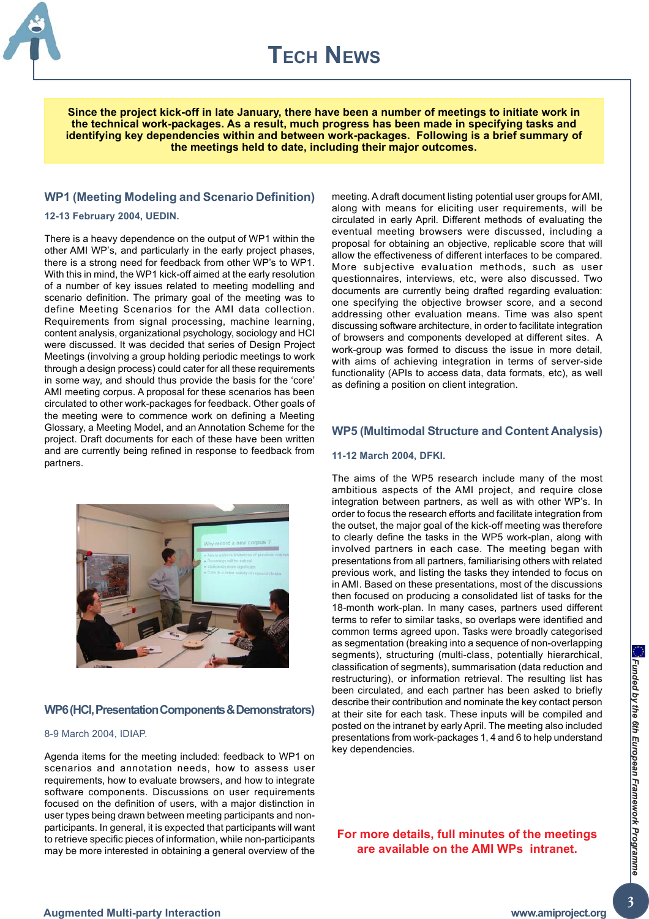

**Since the project kick-off in late January, there have been a number of meetings to initiate work in the technical work-packages. As a result, much progress has been made in specifying tasks and identifying key dependencies within and between work-packages. Following is a brief summary of the meetings held to date, including their major outcomes.**

#### **WP1 (Meeting Modeling and Scenario Definition)**

#### **12-13 February 2004, UEDIN.**

There is a heavy dependence on the output of WP1 within the other AMI WP's, and particularly in the early project phases, there is a strong need for feedback from other WP's to WP1. With this in mind, the WP1 kick-off aimed at the early resolution of a number of key issues related to meeting modelling and scenario definition. The primary goal of the meeting was to define Meeting Scenarios for the AMI data collection. Requirements from signal processing, machine learning, content analysis, organizational psychology, sociology and HCI were discussed. It was decided that series of Design Project Meetings (involving a group holding periodic meetings to work through a design process) could cater for all these requirements in some way, and should thus provide the basis for the 'core' AMI meeting corpus. A proposal for these scenarios has been circulated to other work-packages for feedback. Other goals of the meeting were to commence work on defining a Meeting Glossary, a Meeting Model, and an Annotation Scheme for the project. Draft documents for each of these have been written and are currently being refined in response to feedback from partners.



#### **WP6 (HCI, Presentation Components & Demonstrators)**

#### 8-9 March 2004, IDIAP.

Agenda items for the meeting included: feedback to WP1 on scenarios and annotation needs, how to assess user requirements, how to evaluate browsers, and how to integrate software components. Discussions on user requirements focused on the definition of users, with a major distinction in user types being drawn between meeting participants and nonparticipants. In general, it is expected that participants will want to retrieve specific pieces of information, while non-participants may be more interested in obtaining a general overview of the

meeting. A draft document listing potential user groups for AMI, along with means for eliciting user requirements, will be circulated in early April. Different methods of evaluating the eventual meeting browsers were discussed, including a proposal for obtaining an objective, replicable score that will allow the effectiveness of different interfaces to be compared. More subjective evaluation methods, such as user questionnaires, interviews, etc, were also discussed. Two documents are currently being drafted regarding evaluation: one specifying the objective browser score, and a second addressing other evaluation means. Time was also spent discussing software architecture, in order to facilitate integration of browsers and components developed at different sites. A work-group was formed to discuss the issue in more detail, with aims of achieving integration in terms of server-side functionality (APIs to access data, data formats, etc), as well as defining a position on client integration.

#### **WP5 (Multimodal Structure and Content Analysis)**

#### **11-12 March 2004, DFKI.**

The aims of the WP5 research include many of the most ambitious aspects of the AMI project, and require close integration between partners, as well as with other WP's. In order to focus the research efforts and facilitate integration from the outset, the major goal of the kick-off meeting was therefore to clearly define the tasks in the WP5 work-plan, along with involved partners in each case. The meeting began with presentations from all partners, familiarising others with related previous work, and listing the tasks they intended to focus on in AMI. Based on these presentations, most of the discussions then focused on producing a consolidated list of tasks for the 18-month work-plan. In many cases, partners used different terms to refer to similar tasks, so overlaps were identified and common terms agreed upon. Tasks were broadly categorised as segmentation (breaking into a sequence of non-overlapping segments), structuring (multi-class, potentially hierarchical, classification of segments), summarisation (data reduction and restructuring), or information retrieval. The resulting list has been circulated, and each partner has been asked to briefly describe their contribution and nominate the key contact person at their site for each task. These inputs will be compiled and posted on the intranet by early April. The meeting also included presentations from work-packages 1, 4 and 6 to help understand key dependencies.

# **For more details, full minutes of the meetings are available on the AMI WPs intranet.**

 $\overline{\mathbf{3}}$